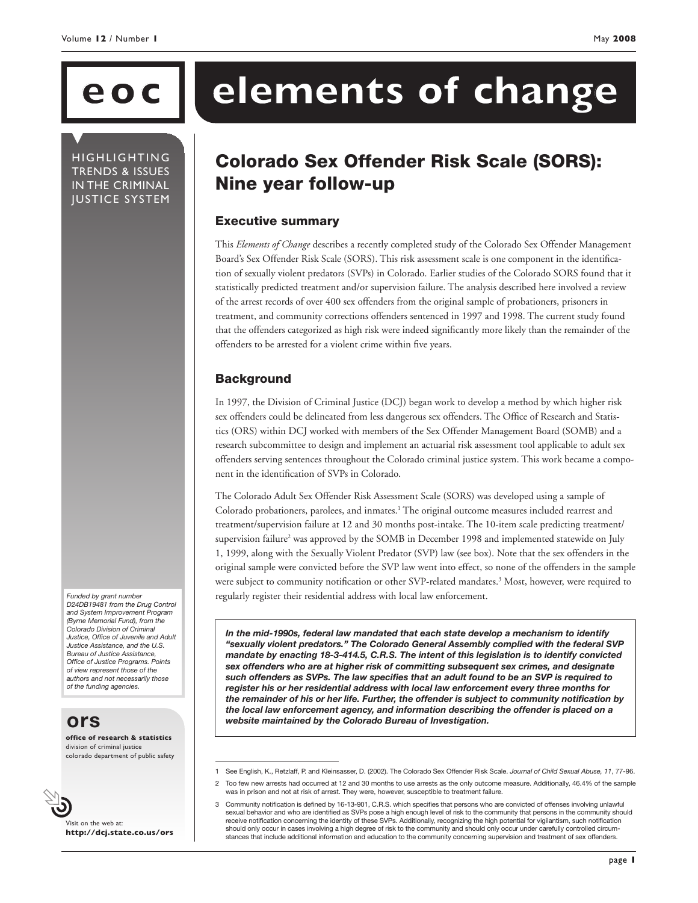**HIGHLIGHTING** TRENDS & ISSUES IN THE CRIMINAL JUSTICE SYSTEM

# **eoc elements of change**

## Colorado Sex Offender Risk Scale (SORS): Nine year follow-up

#### Executive summary

This *Elements of Change* describes a recently completed study of the Colorado Sex Offender Management Board's Sex Offender Risk Scale (SORS). This risk assessment scale is one component in the identification of sexually violent predators (SVPs) in Colorado. Earlier studies of the Colorado SORS found that it statistically predicted treatment and/or supervision failure. The analysis described here involved a review of the arrest records of over 400 sex offenders from the original sample of probationers, prisoners in treatment, and community corrections offenders sentenced in 1997 and 1998. The current study found that the offenders categorized as high risk were indeed significantly more likely than the remainder of the offenders to be arrested for a violent crime within five years.

### **Background**

In 1997, the Division of Criminal Justice (DCJ) began work to develop a method by which higher risk sex offenders could be delineated from less dangerous sex offenders. The Office of Research and Statistics (ORS) within DCJ worked with members of the Sex Offender Management Board (SOMB) and a research subcommittee to design and implement an actuarial risk assessment tool applicable to adult sex offenders serving sentences throughout the Colorado criminal justice system. This work became a component in the identification of SVPs in Colorado.

The Colorado Adult Sex Offender Risk Assessment Scale (SORS) was developed using a sample of Colorado probationers, parolees, and inmates.1 The original outcome measures included rearrest and treatment/supervision failure at 12 and 30 months post-intake. The 10-item scale predicting treatment/ supervision failure<sup>2</sup> was approved by the SOMB in December 1998 and implemented statewide on July 1, 1999, along with the Sexually Violent Predator (SVP) law (see box). Note that the sex offenders in the original sample were convicted before the SVP law went into effect, so none of the offenders in the sample were subject to community notification or other SVP-related mandates.<sup>3</sup> Most, however, were required to regularly register their residential address with local law enforcement.

*In the mid-1990s, federal law mandated that each state develop a mechanism to identify "sexually violent predators." The Colorado General Assembly complied with the federal SVP mandate by enacting 18-3-414.5, C.R.S. The intent of this legislation is to identify convicted sex offenders who are at higher risk of committing subsequent sex crimes, and designate such offenders as SVPs. The law specifies that an adult found to be an SVP is required to register his or her residential address with local law enforcement every three months for the remainder of his or her life. Further, the offender is subject to community notification by the local law enforcement agency, and information describing the offender is placed on a website maintained by the Colorado Bureau of Investigation.* 

*Funded by grant number D24DB19481 from the Drug Control and System Improvement Program (Byrne Memorial Fund), from the Colorado Division of Criminal Justice, Office of Juvenile and Adult Justice Assistance, and the U.S. Bureau of Justice Assistance, Office of Justice Programs. Points of view represent those of the authors and not necessarily those of the funding agencies.*

## **ors**

**office of research & statistics** division of criminal justice colorado department of public safety

Visit on the web at: **http://dcj.state.co.us/ors**

<sup>1</sup> See English, K., Retzlaff, P. and Kleinsasser, D. (2002). The Colorado Sex Offender Risk Scale. *Journal of Child Sexual Abuse, 11*, 77-96.

<sup>2</sup> Too few new arrests had occurred at 12 and 30 months to use arrests as the only outcome measure. Additionally, 46.4% of the sample was in prison and not at risk of arrest. They were, however, susceptible to treatment failure.

<sup>3</sup> Community notification is defined by 16-13-901, C.R.S. which specifies that persons who are convicted of offenses involving unlawful sexual behavior and who are identified as SVPs pose a high enough level of risk to the community that persons in the community should receive notification concerning the identity of these SVPs. Additionally, recognizing the high potential for vigilantism, such notification should only occur in cases involving a high degree of risk to the community and should only occur under carefully controlled circumstances that include additional information and education to the community concerning supervision and treatment of sex offenders.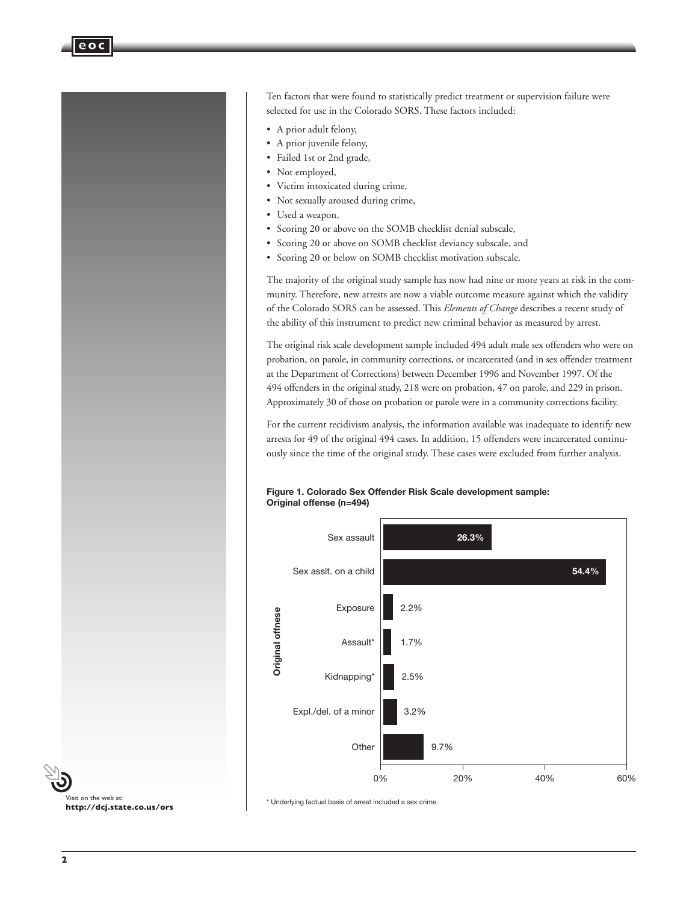Ten factors that were found to statistically predict treatment or supervision failure were selected for use in the Colorado SORS. These factors included:

- A prior adult felony,
- A prior juvenile felony,
- Failed 1st or 2nd grade,
- Not employed,
- Victim intoxicated during crime,
- Not sexually aroused during crime,
- Used a weapon,
- Scoring 20 or above on the SOMB checklist denial subscale,
- Scoring 20 or above on SOMB checklist deviancy subscale, and
- Scoring 20 or below on SOMB checklist motivation subscale.

The majority of the original study sample has now had nine or more years at risk in the community. Therefore, new arrests are now a viable outcome measure against which the validity of the Colorado SORS can be assessed. This *Elements of Change* describes a recent study of the ability of this instrument to predict new criminal behavior as measured by arrest.

The original risk scale development sample included 494 adult male sex offenders who were on probation, on parole, in community corrections, or incarcerated (and in sex offender treatment at the Department of Corrections) between December 1996 and November 1997. Of the 494 offenders in the original study, 218 were on probation, 47 on parole, and 229 in prison. Approximately 30 of those on probation or parole were in a community corrections facility.

For the current recidivism analysis, the information available was inadequate to identify new arrests for 49 of the original 494 cases. In addition, 15 offenders were incarcerated continuously since the time of the original study. These cases were excluded from further analysis.





\* Underlying factual basis of arrest included a sex crime.



**eoc**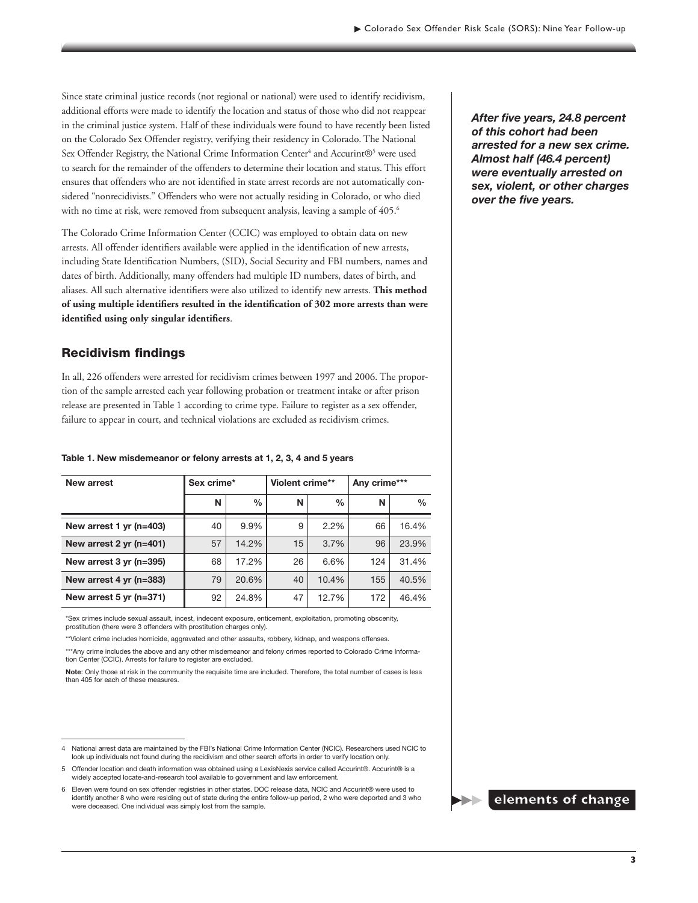Since state criminal justice records (not regional or national) were used to identify recidivism, additional efforts were made to identify the location and status of those who did not reappear in the criminal justice system. Half of these individuals were found to have recently been listed on the Colorado Sex Offender registry, verifying their residency in Colorado. The National Sex Offender Registry, the National Crime Information Center<sup>4</sup> and Accurint®<sup>5</sup> were used to search for the remainder of the offenders to determine their location and status. This effort ensures that offenders who are not identified in state arrest records are not automatically considered "nonrecidivists." Offenders who were not actually residing in Colorado, or who died with no time at risk, were removed from subsequent analysis, leaving a sample of 405.<sup>6</sup>

The Colorado Crime Information Center (CCIC) was employed to obtain data on new arrests. All offender identifiers available were applied in the identification of new arrests, including State Identification Numbers, (SID), Social Security and FBI numbers, names and dates of birth. Additionally, many offenders had multiple ID numbers, dates of birth, and aliases. All such alternative identifiers were also utilized to identify new arrests. **This method of using multiple identifiers resulted in the identification of 302 more arrests than were identified using only singular identifiers**.

#### Recidivism findings

In all, 226 offenders were arrested for recidivism crimes between 1997 and 2006. The proportion of the sample arrested each year following probation or treatment intake or after prison release are presented in Table 1 according to crime type. Failure to register as a sex offender, failure to appear in court, and technical violations are excluded as recidivism crimes.

#### **Table 1. New misdemeanor or felony arrests at 1, 2, 3, 4 and 5 years**

| New arrest                | Sex crime* |               | Violent crime** |       | Any crime*** |               |
|---------------------------|------------|---------------|-----------------|-------|--------------|---------------|
|                           |            |               |                 |       |              |               |
|                           | N          | $\frac{0}{0}$ | N               | $\%$  | N            | $\frac{0}{0}$ |
| New arrest 1 yr $(n=403)$ | 40         | 9.9%          | 9               | 2.2%  | 66           | 16.4%         |
| New arrest $2$ yr (n=401) | 57         | 14.2%         | 15              | 3.7%  | 96           | 23.9%         |
| New arrest 3 yr (n=395)   | 68         | 17.2%         | 26              | 6.6%  | 124          | 31.4%         |
| New arrest 4 yr (n=383)   | 79         | 20.6%         | 40              | 10.4% | 155          | 40.5%         |
| New arrest $5$ yr (n=371) | 92         | 24.8%         | 47              | 12.7% | 172          | 46.4%         |

\*Sex crimes include sexual assault, incest, indecent exposure, enticement, exploitation, promoting obscenity, prostitution (there were 3 offenders with prostitution charges only).

\*\*Violent crime includes homicide, aggravated and other assaults, robbery, kidnap, and weapons offenses.

\*\*\*Any crime includes the above and any other misdemeanor and felony crimes reported to Colorado Crime Information Center (CCIC). Arrests for failure to register are excluded.

**Note**: Only those at risk in the community the requisite time are included. Therefore, the total number of cases is less than 405 for each of these measures.

*After five years, 24.8 percent of this cohort had been arrested for a new sex crime. Almost half (46.4 percent) were eventually arrested on sex, violent, or other charges over the five years.*



<sup>4</sup> National arrest data are maintained by the FBI's National Crime Information Center (NCIC). Researchers used NCIC to look up individuals not found during the recidivism and other search efforts in order to verify location only.

<sup>5</sup> Offender location and death information was obtained using a LexisNexis service called Accurint®. Accurint® is a widely accepted locate-and-research tool available to government and law enforcement.

<sup>6</sup> Eleven were found on sex offender registries in other states. DOC release data, NCIC and Accurint® were used to identify another 8 who were residing out of state during the entire follow-up period, 2 who were deported and 3 who were deceased. One individual was simply lost from the sample.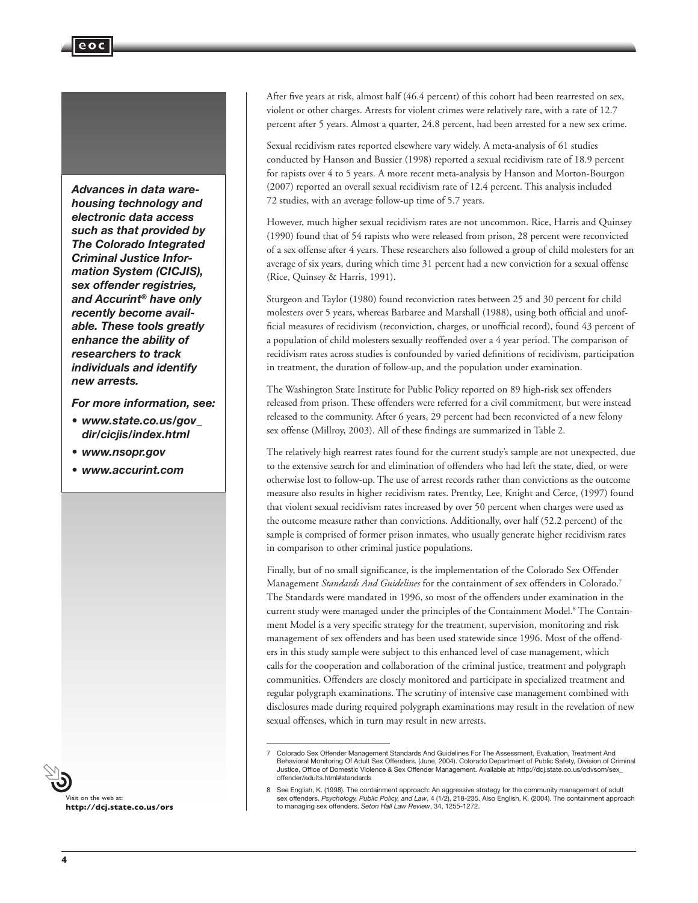*Advances in data warehousing technology and electronic data access such as that provided by The Colorado Integrated Criminal Justice Information System (CICJIS), sex offender registries, and Accurint® have only recently become available. These tools greatly enhance the ability of researchers to track individuals and identify new arrests.* 

*For more information, see:* 

- *• www.state.co.us/gov\_ dir/cicjis/index.html*
- *• www.nsopr.gov*
- *• www.accurint.com*



**http://dcj.state.co.us/ors**

After five years at risk, almost half (46.4 percent) of this cohort had been rearrested on sex, violent or other charges. Arrests for violent crimes were relatively rare, with a rate of 12.7 percent after 5 years. Almost a quarter, 24.8 percent, had been arrested for a new sex crime.

Sexual recidivism rates reported elsewhere vary widely. A meta-analysis of 61 studies conducted by Hanson and Bussier (1998) reported a sexual recidivism rate of 18.9 percent for rapists over 4 to 5 years. A more recent meta-analysis by Hanson and Morton-Bourgon (2007) reported an overall sexual recidivism rate of 12.4 percent. This analysis included 72 studies, with an average follow-up time of 5.7 years.

However, much higher sexual recidivism rates are not uncommon. Rice, Harris and Quinsey (1990) found that of 54 rapists who were released from prison, 28 percent were reconvicted of a sex offense after 4 years. These researchers also followed a group of child molesters for an average of six years, during which time 31 percent had a new conviction for a sexual offense (Rice, Quinsey & Harris, 1991).

Sturgeon and Taylor (1980) found reconviction rates between 25 and 30 percent for child molesters over 5 years, whereas Barbaree and Marshall (1988), using both official and unofficial measures of recidivism (reconviction, charges, or unofficial record), found 43 percent of a population of child molesters sexually reoffended over a 4 year period. The comparison of recidivism rates across studies is confounded by varied definitions of recidivism, participation in treatment, the duration of follow-up, and the population under examination.

The Washington State Institute for Public Policy reported on 89 high-risk sex offenders released from prison. These offenders were referred for a civil commitment, but were instead released to the community. After 6 years, 29 percent had been reconvicted of a new felony sex offense (Millroy, 2003). All of these findings are summarized in Table 2.

The relatively high rearrest rates found for the current study's sample are not unexpected, due to the extensive search for and elimination of offenders who had left the state, died, or were otherwise lost to follow-up. The use of arrest records rather than convictions as the outcome measure also results in higher recidivism rates. Prentky, Lee, Knight and Cerce, (1997) found that violent sexual recidivism rates increased by over 50 percent when charges were used as the outcome measure rather than convictions. Additionally, over half (52.2 percent) of the sample is comprised of former prison inmates, who usually generate higher recidivism rates in comparison to other criminal justice populations.

Finally, but of no small significance, is the implementation of the Colorado Sex Offender Management *Standards And Guidelines* for the containment of sex offenders in Colorado.7 The Standards were mandated in 1996, so most of the offenders under examination in the current study were managed under the principles of the Containment Model.<sup>8</sup> The Containment Model is a very specific strategy for the treatment, supervision, monitoring and risk management of sex offenders and has been used statewide since 1996. Most of the offenders in this study sample were subject to this enhanced level of case management, which calls for the cooperation and collaboration of the criminal justice, treatment and polygraph communities. Offenders are closely monitored and participate in specialized treatment and regular polygraph examinations. The scrutiny of intensive case management combined with disclosures made during required polygraph examinations may result in the revelation of new sexual offenses, which in turn may result in new arrests.

<sup>7</sup> Colorado Sex Offender Management Standards And Guidelines For The Assessment, Evaluation, Treatment And Behavioral Monitoring Of Adult Sex Offenders. (June, 2004). Colorado Department of Public Safety, Division of Criminal Justice, Office of Domestic Violence & Sex Offender Management. Available at: http://dcj.state.co.us/odvsom/sex\_ offender/adults.html#standards

<sup>8</sup> See English, K. (1998). The containment approach: An aggressive strategy for the community management of adult<br>sex offenders. Psychology, Public Policy, and Law, 4 (1/2), 218-235. Also English, K. (2004). The containment to managing sex offenders. *Seton Hall Law Review*, 34, 1255-1272.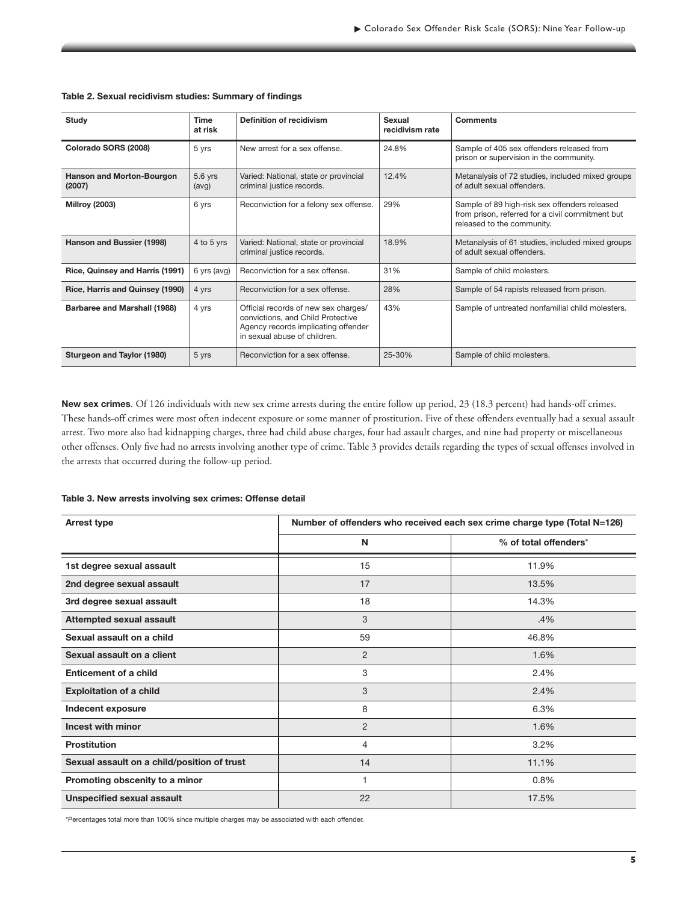| Study                                      | <b>Time</b><br>at risk | <b>Definition of recidivism</b>                                                                                                                  | Sexual<br>recidivism rate | <b>Comments</b>                                                                                                                 |  |
|--------------------------------------------|------------------------|--------------------------------------------------------------------------------------------------------------------------------------------------|---------------------------|---------------------------------------------------------------------------------------------------------------------------------|--|
| Colorado SORS (2008)                       | 5 yrs                  | New arrest for a sex offense.                                                                                                                    | 24.8%                     | Sample of 405 sex offenders released from<br>prison or supervision in the community.                                            |  |
| <b>Hanson and Morton-Bourgon</b><br>(2007) | 5.6 yrs<br>(avg)       | 12.4%<br>Varied: National, state or provincial<br>criminal justice records.                                                                      |                           | Metanalysis of 72 studies, included mixed groups<br>of adult sexual offenders.                                                  |  |
| <b>Millroy (2003)</b>                      | 6 yrs                  | Reconviction for a felony sex offense.                                                                                                           | 29%                       | Sample of 89 high-risk sex offenders released<br>from prison, referred for a civil commitment but<br>released to the community. |  |
| Hanson and Bussier (1998)                  | 4 to 5 yrs             | Varied: National, state or provincial<br>criminal justice records.                                                                               | 18.9%                     | Metanalysis of 61 studies, included mixed groups<br>of adult sexual offenders.                                                  |  |
| Rice, Quinsey and Harris (1991)            | 6 yrs (avg)            | Reconviction for a sex offense.                                                                                                                  | 31%                       | Sample of child molesters.                                                                                                      |  |
| Rice, Harris and Quinsey (1990)            | 4 yrs                  | Reconviction for a sex offense.                                                                                                                  | 28%                       | Sample of 54 rapists released from prison.                                                                                      |  |
| Barbaree and Marshall (1988)               | 4 yrs                  | Official records of new sex charges/<br>convictions, and Child Protective<br>Agency records implicating offender<br>in sexual abuse of children. | 43%                       | Sample of untreated nonfamilial child molesters.                                                                                |  |
| Sturgeon and Taylor (1980)                 | 5 yrs                  | Reconviction for a sex offense.                                                                                                                  | 25-30%                    | Sample of child molesters.                                                                                                      |  |

#### **Table 2. Sexual recidivism studies: Summary of findings**

**New sex crimes**. Of 126 individuals with new sex crime arrests during the entire follow up period, 23 (18.3 percent) had hands-off crimes. These hands-off crimes were most often indecent exposure or some manner of prostitution. Five of these offenders eventually had a sexual assault arrest. Two more also had kidnapping charges, three had child abuse charges, four had assault charges, and nine had property or miscellaneous other offenses. Only five had no arrests involving another type of crime. Table 3 provides details regarding the types of sexual offenses involved in the arrests that occurred during the follow-up period.

#### **Table 3. New arrests involving sex crimes: Offense detail**

| <b>Arrest type</b>                          | Number of offenders who received each sex crime charge type (Total N=126) |                       |  |  |
|---------------------------------------------|---------------------------------------------------------------------------|-----------------------|--|--|
|                                             | N                                                                         | % of total offenders* |  |  |
| 1st degree sexual assault                   | 15                                                                        | 11.9%                 |  |  |
| 2nd degree sexual assault                   | 17                                                                        | 13.5%                 |  |  |
| 3rd degree sexual assault                   | 18                                                                        | 14.3%                 |  |  |
| Attempted sexual assault                    | 3                                                                         | .4%                   |  |  |
| Sexual assault on a child                   | 59                                                                        | 46.8%                 |  |  |
| Sexual assault on a client                  | $\overline{2}$                                                            | 1.6%                  |  |  |
| Enticement of a child                       | 3                                                                         | 2.4%                  |  |  |
| <b>Exploitation of a child</b>              | 3                                                                         | 2.4%                  |  |  |
| Indecent exposure                           | 8                                                                         | 6.3%                  |  |  |
| Incest with minor                           | $\overline{2}$                                                            | 1.6%                  |  |  |
| <b>Prostitution</b>                         | 4                                                                         | 3.2%                  |  |  |
| Sexual assault on a child/position of trust | 14                                                                        | 11.1%                 |  |  |
| Promoting obscenity to a minor              | 1                                                                         | 0.8%                  |  |  |
| <b>Unspecified sexual assault</b>           | 22                                                                        | 17.5%                 |  |  |

\*Percentages total more than 100% since multiple charges may be associated with each offender.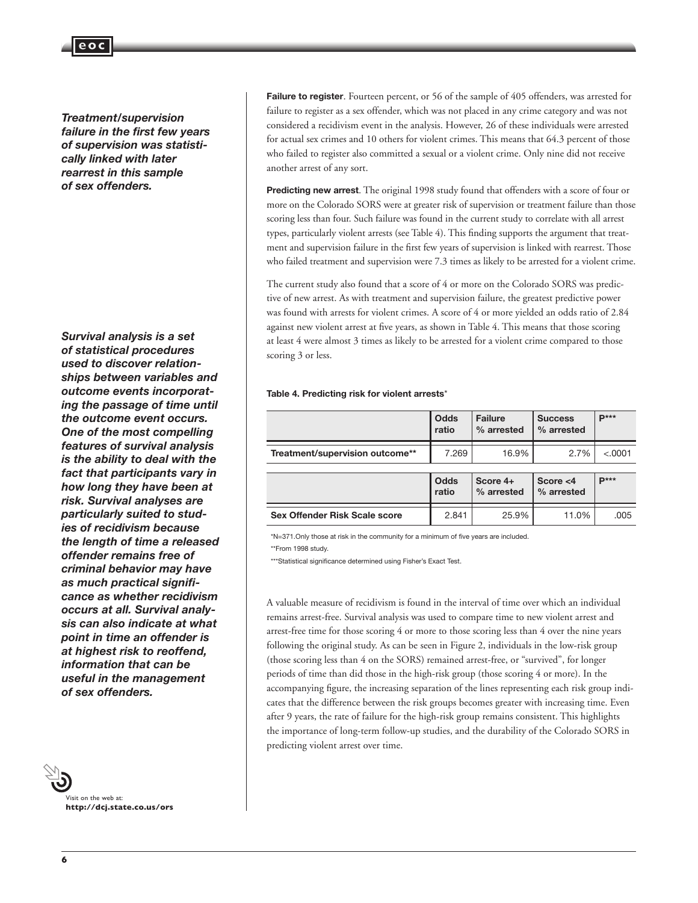*Treatment/supervision failure in the first few years of supervision was statistically linked with later rearrest in this sample of sex offenders.*

**eoc**

*Survival analysis is a set of statistical procedures used to discover relationships between variables and outcome events incorporating the passage of time until the outcome event occurs. One of the most compelling features of survival analysis is the ability to deal with the fact that participants vary in how long they have been at risk. Survival analyses are particularly suited to studies of recidivism because the length of time a released offender remains free of criminal behavior may have as much practical significance as whether recidivism occurs at all. Survival analysis can also indicate at what point in time an offender is at highest risk to reoffend, information that can be useful in the management of sex offenders.*



Failure to register. Fourteen percent, or 56 of the sample of 405 offenders, was arrested for failure to register as a sex offender, which was not placed in any crime category and was not considered a recidivism event in the analysis. However, 26 of these individuals were arrested for actual sex crimes and 10 others for violent crimes. This means that 64.3 percent of those who failed to register also committed a sexual or a violent crime. Only nine did not receive another arrest of any sort.

**Predicting new arrest**. The original 1998 study found that offenders with a score of four or more on the Colorado SORS were at greater risk of supervision or treatment failure than those scoring less than four. Such failure was found in the current study to correlate with all arrest types, particularly violent arrests (see Table 4). This finding supports the argument that treatment and supervision failure in the first few years of supervision is linked with rearrest. Those who failed treatment and supervision were 7.3 times as likely to be arrested for a violent crime.

The current study also found that a score of 4 or more on the Colorado SORS was predictive of new arrest. As with treatment and supervision failure, the greatest predictive power was found with arrests for violent crimes. A score of 4 or more yielded an odds ratio of 2.84 against new violent arrest at five years, as shown in Table 4. This means that those scoring at least 4 were almost 3 times as likely to be arrested for a violent crime compared to those scoring 3 or less.

#### **Table 4. Predicting risk for violent arrests**\*

|                                      | <b>Odds</b><br>ratio | <b>Failure</b><br>% arrested | <b>Success</b><br>% arrested | $\mathbf{p}$ *** |
|--------------------------------------|----------------------|------------------------------|------------------------------|------------------|
| Treatment/supervision outcome**      | 7.269                | 16.9%                        | 2.7%                         | < .0001          |
|                                      | Odds<br>ratio        | Score 4+<br>% arrested       | Score $<$ 4<br>% arrested    | $P***$           |
| <b>Sex Offender Risk Scale score</b> | 2.841                | 25.9%                        | 11.0%                        | .005             |

\*N=371.Only those at risk in the community for a minimum of five years are included.

\*\*From 1998 study.

\*\*\*Statistical significance determined using Fisher's Exact Test.

A valuable measure of recidivism is found in the interval of time over which an individual remains arrest-free. Survival analysis was used to compare time to new violent arrest and arrest-free time for those scoring 4 or more to those scoring less than 4 over the nine years following the original study. As can be seen in Figure 2, individuals in the low-risk group (those scoring less than 4 on the SORS) remained arrest-free, or "survived", for longer periods of time than did those in the high-risk group (those scoring 4 or more). In the accompanying figure, the increasing separation of the lines representing each risk group indicates that the difference between the risk groups becomes greater with increasing time. Even after 9 years, the rate of failure for the high-risk group remains consistent. This highlights the importance of long-term follow-up studies, and the durability of the Colorado SORS in predicting violent arrest over time.

 $\overline{a}$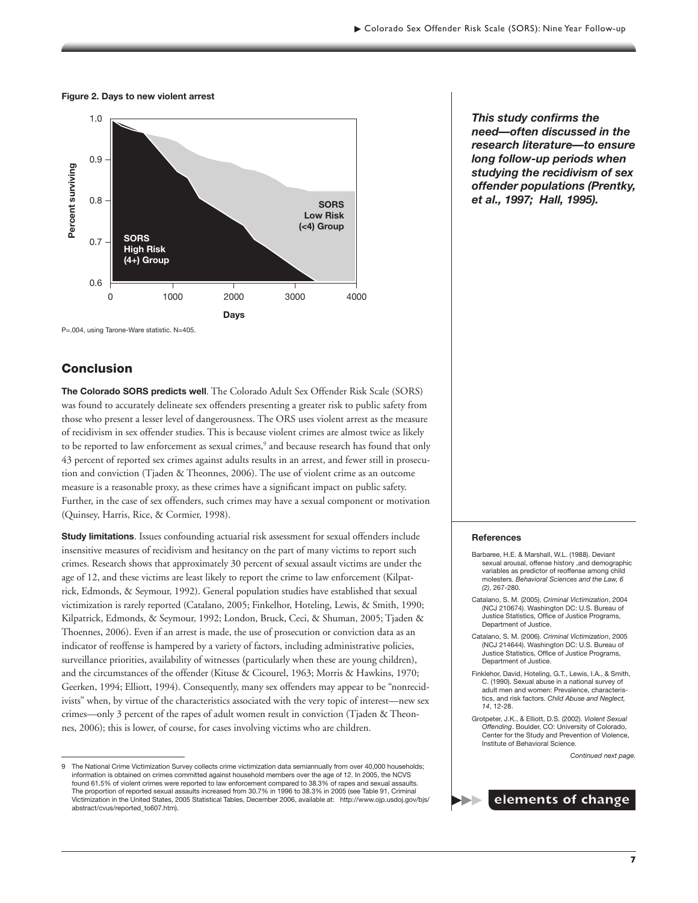1.0 0.9 Percent surviving **Percent surviving** 0.8 **SORS Low Risk (<4) Group SORS** 0.7 **High Risk (4+) Group** 0.6 0 1000 2000 3000 4000 **Days**

**Figure 2. Days to new violent arrest**

P=.004, using Tarone-Ware statistic. N=405.

#### **Conclusion**

**The Colorado SORS predicts well**. The Colorado Adult Sex Offender Risk Scale (SORS) was found to accurately delineate sex offenders presenting a greater risk to public safety from those who present a lesser level of dangerousness. The ORS uses violent arrest as the measure of recidivism in sex offender studies. This is because violent crimes are almost twice as likely to be reported to law enforcement as sexual crimes,<sup>9</sup> and because research has found that only 43 percent of reported sex crimes against adults results in an arrest, and fewer still in prosecution and conviction (Tjaden & Theonnes, 2006). The use of violent crime as an outcome measure is a reasonable proxy, as these crimes have a significant impact on public safety. Further, in the case of sex offenders, such crimes may have a sexual component or motivation (Quinsey, Harris, Rice, & Cormier, 1998).

**Study limitations**. Issues confounding actuarial risk assessment for sexual offenders include insensitive measures of recidivism and hesitancy on the part of many victims to report such crimes. Research shows that approximately 30 percent of sexual assault victims are under the age of 12, and these victims are least likely to report the crime to law enforcement (Kilpatrick, Edmonds, & Seymour, 1992). General population studies have established that sexual victimization is rarely reported (Catalano, 2005; Finkelhor, Hoteling, Lewis, & Smith, 1990; Kilpatrick, Edmonds, & Seymour, 1992; London, Bruck, Ceci, & Shuman, 2005; Tjaden & Thoennes, 2006). Even if an arrest is made, the use of prosecution or conviction data as an indicator of reoffense is hampered by a variety of factors, including administrative policies, surveillance priorities, availability of witnesses (particularly when these are young children), and the circumstances of the offender (Kituse & Cicourel, 1963; Morris & Hawkins, 1970; Geerken, 1994; Elliott, 1994). Consequently, many sex offenders may appear to be "nonrecidivists" when, by virtue of the characteristics associated with the very topic of interest—new sex crimes—only 3 percent of the rapes of adult women result in conviction (Tjaden & Theonnes, 2006); this is lower, of course, for cases involving victims who are children.

*This study confirms the need—often discussed in the research literature—to ensure long follow-up periods when studying the recidivism of sex offender populations (Prentky, et al., 1997; Hall, 1995).*

#### **References**

- Barbaree, H.E. & Marshall, W.L. (1988). Deviant sexual arousal, offense history ,and demographic variables as predictor of reoffense among child molesters. *Behavioral Sciences and the Law, 6 (2)*, 267-280.
- Catalano, S. M. (2005). *Criminal Victimization*, 2004 (NCJ 210674). Washington DC: U.S. Bureau of Justice Statistics, Office of Justice Programs, Department of Justice.
- Catalano, S. M. (2006). *Criminal Victimization*, 2005 (NCJ 214644). Washington DC: U.S. Bureau of Justice Statistics, Office of Justice Programs, Department of Justice.
- Finklehor, David, Hoteling, G.T., Lewis, I.A., & Smith, C. (1990). Sexual abuse in a national survey of adult men and women: Prevalence, characteristics, and risk factors. *Child Abuse and Neglect, 14*, 12-28.
- Grotpeter, J.K., & Elliott, D.S. (2002). *Violent Sexual Offending*. Boulder, CO: University of Colorado, Center for the Study and Prevention of Violence, Institute of Behavioral Science.

*Continued next page.*



The National Crime Victimization Survey collects crime victimization data semiannually from over 40,000 households; information is obtained on crimes committed against household members over the age of 12. In 2005, the NCVS found 61.5% of violent crimes were reported to law enforcement compared to 38.3% of rapes and sexual assaults. The proportion of reported sexual assaults increased from 30.7% in 1996 to 38.3% in 2005 (see Table 91, Criminal Victimization in the United States, 2005 Statistical Tables, December 2006, available at: http://www.ojp.usdoj.gov/bjs/ abstract/cvus/reported\_to607.htm).